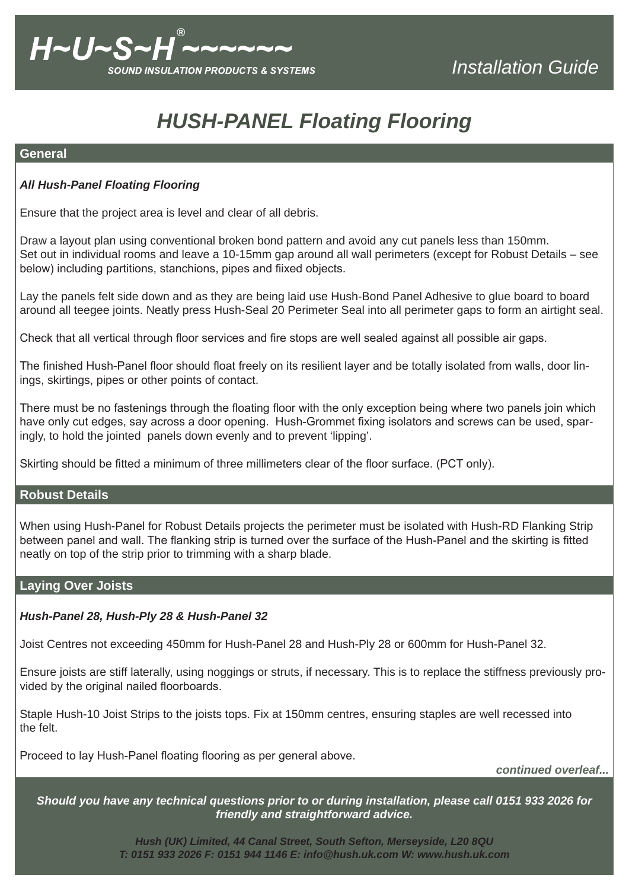# *HUSH-PANEL Floating Flooring*

## **General**

# *All Hush-Panel Floating Flooring*

Ensure that the project area is level and clear of all debris.

Draw a layout plan using conventional broken bond pattern and avoid any cut panels less than 150mm. Set out in individual rooms and leave a 10-15mm gap around all wall perimeters (except for Robust Details – see below) including partitions, stanchions, pipes and fiixed objects.

Lay the panels felt side down and as they are being laid use Hush-Bond Panel Adhesive to glue board to board around all teegee joints. Neatly press Hush-Seal 20 Perimeter Seal into all perimeter gaps to form an airtight seal.

Check that all vertical through floor services and fire stops are well sealed against all possible air gaps.

The finished Hush-Panel floor should float freely on its resilient layer and be totally isolated from walls, door linings, skirtings, pipes or other points of contact.

There must be no fastenings through the floating floor with the only exception being where two panels join which have only cut edges, say across a door opening. Hush-Grommet fixing isolators and screws can be used, sparingly, to hold the jointed panels down evenly and to prevent 'lipping'.

Skirting should be fitted a minimum of three millimeters clear of the floor surface. (PCT only).

## **Robust Details**

When using Hush-Panel for Robust Details projects the perimeter must be isolated with Hush-RD Flanking Strip between panel and wall. The flanking strip is turned over the surface of the Hush-Panel and the skirting is fitted neatly on top of the strip prior to trimming with a sharp blade.

## **Laying Over Joists**

## *Hush-Panel 28, Hush-Ply 28 & Hush-Panel 32*

Joist Centres not exceeding 450mm for Hush-Panel 28 and Hush-Ply 28 or 600mm for Hush-Panel 32.

Ensure joists are stiff laterally, using noggings or struts, if necessary. This is to replace the stiffness previously provided by the original nailed floorboards.

Staple Hush-10 Joist Strips to the joists tops. Fix at 150mm centres, ensuring staples are well recessed into the felt.

Proceed to lay Hush-Panel floating flooring as per general above.

*continued overleaf...*

*Should you have any technical questions prior to or during installation, please call 0151 933 2026 for friendly and straightforward advice.*

> *Hush (UK) Limited, 44 Canal Street, South Sefton, Merseyside, L20 8QU T: 0151 933 2026 F: 0151 944 1146 E: info@hush.uk.com W: www.hush.uk.com*